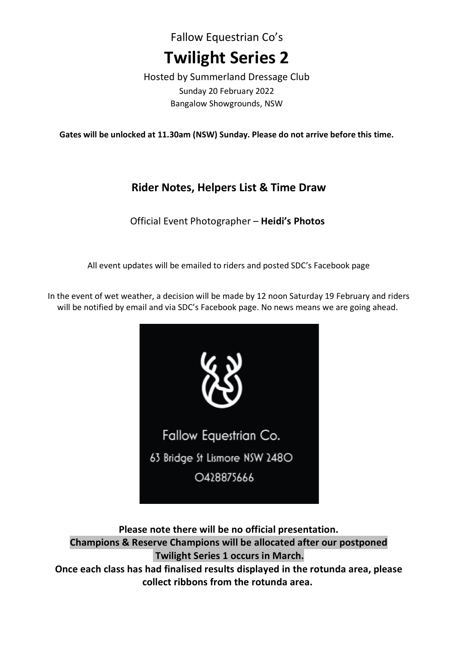Fallow Equestrian Co's **Twilight Series 2**

Hosted by Summerland Dressage Club Sunday 20 February 2022 Bangalow Showgrounds, NSW

**Gates will be unlocked at 11.30am (NSW) Sunday. Please do not arrive before this time.**

# **Rider Notes, Helpers List & Time Draw**

Official Event Photographer – **Heidi's Photos**

All event updates will be emailed to riders and posted SDC's Facebook page

In the event of wet weather, a decision will be made by 12 noon Saturday 19 February and riders will be notified by email and via SDC's Facebook page. No news means we are going ahead.



**Please note there will be no official presentation. Champions & Reserve Champions will be allocated after our postponed Twilight Series 1 occurs in March. Once each class has had finalised results displayed in the rotunda area, please collect ribbons from the rotunda area.**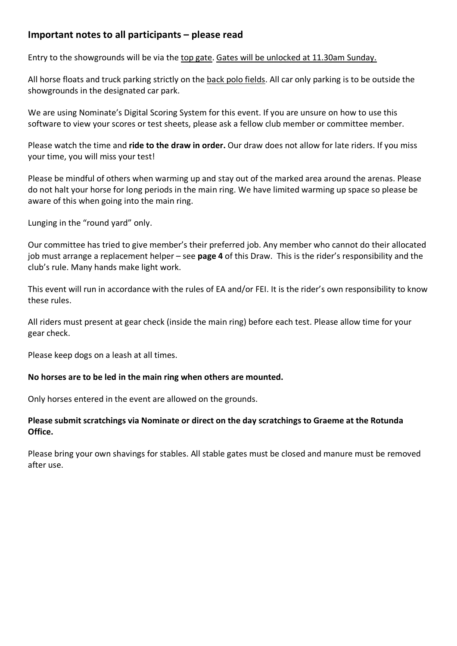## **Important notes to all participants – please read**

Entry to the showgrounds will be via the top gate. Gates will be unlocked at 11.30am Sunday.

All horse floats and truck parking strictly on the back polo fields. All car only parking is to be outside the showgrounds in the designated car park.

We are using Nominate's Digital Scoring System for this event. If you are unsure on how to use this software to view your scores or test sheets, please ask a fellow club member or committee member.

Please watch the time and **ride to the draw in order.** Our draw does not allow for late riders. If you miss your time, you will miss your test!

Please be mindful of others when warming up and stay out of the marked area around the arenas. Please do not halt your horse for long periods in the main ring. We have limited warming up space so please be aware of this when going into the main ring.

Lunging in the "round yard" only.

Our committee has tried to give member's their preferred job. Any member who cannot do their allocated job must arrange a replacement helper – see **page 4** of this Draw. This is the rider's responsibility and the club's rule. Many hands make light work.

This event will run in accordance with the rules of EA and/or FEI. It is the rider's own responsibility to know these rules.

All riders must present at gear check (inside the main ring) before each test. Please allow time for your gear check.

Please keep dogs on a leash at all times.

#### **No horses are to be led in the main ring when others are mounted.**

Only horses entered in the event are allowed on the grounds.

## **Please submit scratchings via Nominate or direct on the day scratchings to Graeme at the Rotunda Office.**

Please bring your own shavings for stables. All stable gates must be closed and manure must be removed after use.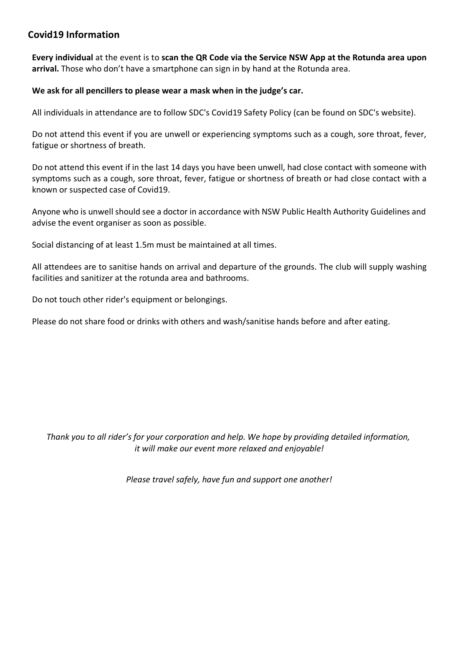## **Covid19 Information**

**Every individual** at the event is to **scan the QR Code via the Service NSW App at the Rotunda area upon arrival.** Those who don't have a smartphone can sign in by hand at the Rotunda area.

## **We ask for all pencillers to please wear a mask when in the judge's car.**

All individuals in attendance are to follow SDC's Covid19 Safety Policy (can be found on SDC's website).

Do not attend this event if you are unwell or experiencing symptoms such as a cough, sore throat, fever, fatigue or shortness of breath.

Do not attend this event if in the last 14 days you have been unwell, had close contact with someone with symptoms such as a cough, sore throat, fever, fatigue or shortness of breath or had close contact with a known or suspected case of Covid19.

Anyone who is unwell should see a doctor in accordance with NSW Public Health Authority Guidelines and advise the event organiser as soon as possible.

Social distancing of at least 1.5m must be maintained at all times.

All attendees are to sanitise hands on arrival and departure of the grounds. The club will supply washing facilities and sanitizer at the rotunda area and bathrooms.

Do not touch other rider's equipment or belongings.

Please do not share food or drinks with others and wash/sanitise hands before and after eating.

*Thank you to all rider's for your corporation and help. We hope by providing detailed information, it will make our event more relaxed and enjoyable!*

*Please travel safely, have fun and support one another!*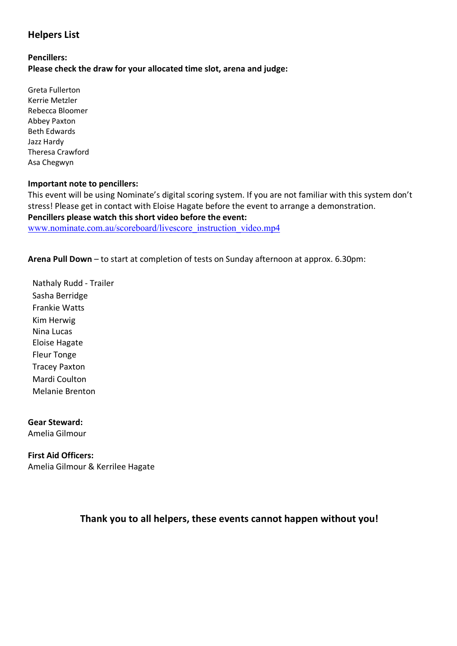## **Helpers List**

#### **Pencillers: Please check the draw for your allocated time slot, arena and judge:**

Greta Fullerton Kerrie Metzler Rebecca Bloomer Abbey Paxton Beth Edwards Jazz Hardy Theresa Crawford Asa Chegwyn

#### **Important note to pencillers:**

This event will be using Nominate's digital scoring system. If you are not familiar with this system don't stress! Please get in contact with Eloise Hagate before the event to arrange a demonstration. **Pencillers please watch this short video before the event:** www.nominate.com.au/scoreboard/livescore\_instruction\_video.mp4

**Arena Pull Down** – to start at completion of tests on Sunday afternoon at approx. 6.30pm:

Nathaly Rudd - Trailer Sasha Berridge Frankie Watts Kim Herwig Nina Lucas Eloise Hagate Fleur Tonge Tracey Paxton Mardi Coulton Melanie Brenton

**Gear Steward:** Amelia Gilmour

**First Aid Officers:** Amelia Gilmour & Kerrilee Hagate

## **Thank you to all helpers, these events cannot happen without you!**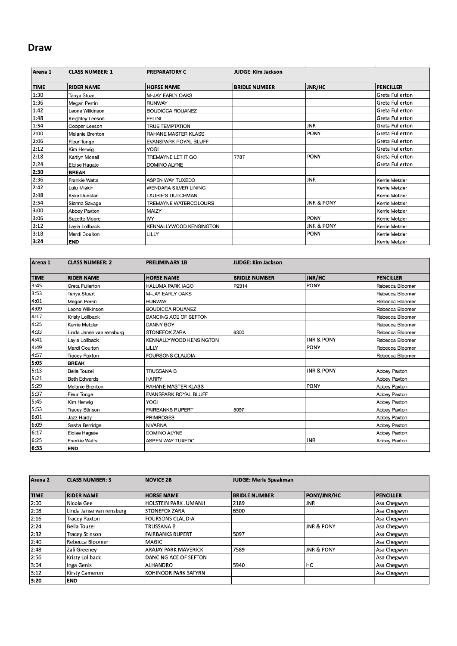## **Draw**

| Arena <sub>1</sub> | <b>CLASS NUMBER: 1</b> | <b>PREPARATORY C</b>         | <b>JUDGE: Kim Jackson</b> |                       |                        |
|--------------------|------------------------|------------------------------|---------------------------|-----------------------|------------------------|
| <b>TIME</b>        | <b>RIDER NAME</b>      | <b>HORSE NAME</b>            | <b>BRIDLE NUMBER</b>      | <b>JNR/HC</b>         | <b>PENCILLER</b>       |
| 1:30               | Tanya Stuart           | M-JAY EARLY OAKS             |                           |                       | <b>Greta Fullerton</b> |
| 1:36               | Megan Perrin           | <b>RUNWAY</b>                |                           |                       | <b>Greta Fullerton</b> |
| 1:42               | Leone Wilkinson        | <b>BOUDICCA ROUANEZ</b>      |                           |                       | <b>Greta Fullerton</b> |
| 1:48               | Keighley Leeson        | <b>FELINI</b>                |                           |                       | <b>Greta Fullerton</b> |
| 1:54               | Cooper Leeson          | <b>TRUE TEMPTATION</b>       |                           | <b>JNR</b>            | <b>Greta Fullerton</b> |
| 2:00               | Melanie Brenton        | RAHANE MASTER KLASS          |                           | <b>PONY</b>           | <b>Greta Fullerton</b> |
| 2:06               | Fleur Tonge            | <b>EVANSPARK ROYAL BLUFF</b> |                           |                       | <b>Greta Fullerton</b> |
| 2:12               | Kim Herwig             | YOGI                         |                           |                       | <b>Greta Fullerton</b> |
| 2:18               | Kaitlyn Mcnall         | TREMAYNE LET IT GO           | 7787                      | <b>PONY</b>           | <b>Greta Fullerton</b> |
| 2:24               | Eloise Hagate          | <b>DOMINO ALYNE</b>          |                           |                       | <b>Greta Fullerton</b> |
| 2:30               | <b>BREAK</b>           |                              |                           |                       |                        |
| 2:36               | <b>Frankie Watts</b>   | ASPEN WAY TUXEDO             |                           | <b>JNR</b>            | Kerrie Metzler         |
| 2:42               | Lulu Miskin            | WENDARA SILVER LINING        |                           |                       | Kerrie Metzler         |
| 2:48               | Kylie Dunstan          | LAURIE'S DUTCHMAN            |                           |                       | Kerrie Metzler         |
| 2:54               | Sienna Savage          | TREMAYNE WATERCOLOURS        |                           | <b>JNR &amp; PONY</b> | Kerrie Metzler         |
| 3:00               | Abbey Paxton           | MAIZY                        |                           |                       | Kerrie Metzler         |
| 3:06               | Suzette Moore          | IVY                          |                           | <b>PONY</b>           | Kerrie Metzler         |
| 3:12               | Layla Lollback         | KENNALLYWOOD KENSINGTON      |                           | <b>JNR &amp; PONY</b> | Kerrie Metzler         |
| 3:18               | Mardi Coulton          | LILLY                        |                           | PONY                  | Kerrie Metzler         |
| 3:24               | <b>END</b>             |                              |                           |                       | Kerrie Metzler         |

| Arena 1     | <b>CLASS NUMBER: 2</b>   | <b>PRELIMINARY 1B</b>   | <b>JUDGE: Kim Jackson</b> |                       |                  |
|-------------|--------------------------|-------------------------|---------------------------|-----------------------|------------------|
| <b>TIME</b> | <b>RIDER NAME</b>        | <b>HORSE NAME</b>       | <b>BRIDLE NUMBER</b>      | JNR/HC                | <b>PENCILLER</b> |
| 3:45        | Greta Fullerton          | <b>HALUMA PARK IAGO</b> | P2314                     | PONY                  | Rebecca Bloomer  |
| 3:53        | Tanya Stuart             | M-JAY EARLY OAKS        |                           |                       | Rebecca Bloomer  |
| 4:01        | Megan Perrin             | <b>RUNWAY</b>           |                           |                       | Rebecca Bloomer  |
| 4:09        | Leone Wilkinson          | <b>BOUDICCA ROUANEZ</b> |                           |                       | Rebecca Bloomer  |
| 4:17        | Kristy Lollback          | DANCING ACE OF SEFTON   |                           |                       | Rebecca Bloomer  |
| 4:25        | Kerrie Metzler           | DANNY BOY               |                           |                       | Rebecca Bloomer  |
| 4:33        | Linda Janse van rensburg | <b>STONEFOX ZARA</b>    | 6300                      |                       | Rebecca Bloomer  |
| 4:41        | Layla Lollback           | KENNALLYWOOD KENSINGTON |                           | <b>JNR &amp; PONY</b> | Rebecca Bloomer  |
| 4:49        | Mardi Coulton            | LILLY                   |                           | PONY                  | Rebecca Bloomer  |
| 4:57        | <b>Tracey Paxton</b>     | <b>FOURSONS CLAUDIA</b> |                           |                       | Rebecca Bloomer  |
| 5:05        | <b>BREAK</b>             |                         |                           |                       |                  |
| 5:13        | <b>Bella Touzel</b>      | TRUSSANA B              |                           | JNR & PONY            | Abbey Paxton     |
| 5:21        | <b>Beth Edwards</b>      | <b>HARRY</b>            |                           |                       | Abbey Paxton     |
| 5:29        | Melanie Brenton          | RAHANE MASTER KLASS     |                           | PONY                  | Abbey Paxton     |
| 5:37        | Fleur Tonge              | EVANSPARK ROYAL BLUFF   |                           |                       | Abbey Paxton     |
| 5:45        | Kim Herwig               | YOGI                    |                           |                       | Abbey Paxton     |
| 5:53        | <b>Tracey Stinson</b>    | <b>FAIRBANKS RUPERT</b> | 5097                      |                       | Abbey Paxton     |
| 6:01        | Jazz Hardy               | <b>PRIMROSES</b>        |                           |                       | Abbey Paxton     |
| 6:09        | Sasha Berridge           | NIVARNA                 |                           |                       | Abbey Paxton     |
| 6:17        | Eloise Hagate            | <b>DOMINO ALYNE</b>     |                           |                       | Abbey Paxton     |
| 6:25        | <b>Frankie Watts</b>     | ASPEN WAY TUXEDO        |                           | JNR                   | Abbey Paxton     |
| 6:33        | <b>END</b>               |                         |                           |                       |                  |

| Arena <sub>2</sub> | <b>CLASS NUMBER: 3</b>   | <b>NOVICE 2B</b>            | <b>JUDGE: Merle Speakman</b> |                       |                  |
|--------------------|--------------------------|-----------------------------|------------------------------|-----------------------|------------------|
|                    |                          |                             |                              |                       |                  |
| <b>TIME</b>        | <b>RIDER NAME</b>        | <b>HORSE NAME</b>           | <b>BRIDLE NUMBER</b>         | <b>PONY/JNR/HC</b>    | <b>PENCILLER</b> |
| 2:00               | Nicola Gee               | HOLSTEIN PARK JUMANJI       | 2189                         | <b>JNR</b>            | Asa Chegwyn      |
| 2:08               | Linda Janse van rensburg | <b>STONEFOX ZARA</b>        | 6300                         |                       | Asa Chegwyn      |
| 2:16               | <b>Tracey Paxton</b>     | <b>FOURSONS CLAUDIA</b>     |                              |                       | Asa Chegwyn      |
| 2:24               | <b>Bella Touzel</b>      | <b>TRUSSANA B</b>           |                              | <b>JNR &amp; PONY</b> | Asa Chegwyn      |
| 2:32               | <b>Tracey Stinson</b>    | <b>FAIRBANKS RUPERT</b>     | 5097                         |                       | Asa Chegwyn      |
| 2:40               | Rebecca Bloomer          | <b>MAGIC</b>                |                              |                       | Asa Chegwyn      |
| 2:48               | Zali Greeney             | <b>ARAJAY PARK MAVERICK</b> | 7589                         | <b>JNR &amp; PONY</b> | Asa Chegwyn      |
| 2:56               | Kristy Lollback          | DANCING ACE OF SEFTON       |                              |                       | Asa Chegwyn      |
| 3:04               | Inga Genis               | <b>ALHANDRO</b>             | 5940                         | HC                    | Asa Chegwyn      |
| 3:12               | <b>Kirsty Cameron</b>    | KOHINOOR PARK SATYRN        |                              |                       | Asa Chegwyn      |
| 3:20               | <b>END</b>               |                             |                              |                       |                  |